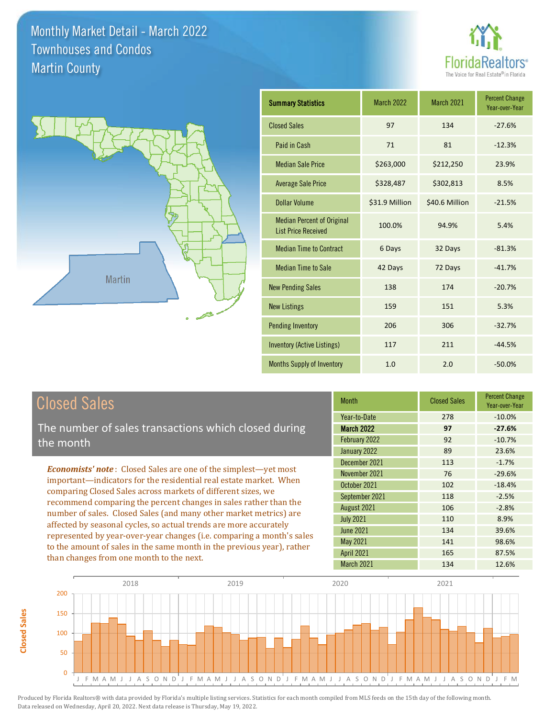



| <b>Summary Statistics</b>                                       | <b>March 2022</b> | March 2021     | <b>Percent Change</b><br>Year-over-Year |
|-----------------------------------------------------------------|-------------------|----------------|-----------------------------------------|
| <b>Closed Sales</b>                                             | 97                | 134            | $-27.6%$                                |
| Paid in Cash                                                    | 71                | 81             | $-12.3%$                                |
| <b>Median Sale Price</b>                                        | \$263,000         | \$212,250      | 23.9%                                   |
| <b>Average Sale Price</b>                                       | \$328,487         | \$302,813      | 8.5%                                    |
| <b>Dollar Volume</b>                                            | \$31.9 Million    | \$40.6 Million | $-21.5%$                                |
| <b>Median Percent of Original</b><br><b>List Price Received</b> | 100.0%            | 94.9%          | 5.4%                                    |
| <b>Median Time to Contract</b>                                  | 6 Days            | 32 Days        | $-81.3%$                                |
| <b>Median Time to Sale</b>                                      | 42 Days           | 72 Days        | $-41.7%$                                |
| <b>New Pending Sales</b>                                        | 138               | 174            | $-20.7%$                                |
| <b>New Listings</b>                                             | 159               | 151            | 5.3%                                    |
| <b>Pending Inventory</b>                                        | 206               | 306            | $-32.7%$                                |
| <b>Inventory (Active Listings)</b>                              | 117               | 211            | $-44.5%$                                |
| <b>Months Supply of Inventory</b>                               | 1.0               | 2.0            | $-50.0%$                                |

#### Closed Sales

**Closed Sales**

**Closed Sales** 

The number of sales transactions which closed during the month

*Economists' note* : Closed Sales are one of the simplest—yet most important—indicators for the residential real estate market. When comparing Closed Sales across markets of different sizes, we recommend comparing the percent changes in sales rather than the number of sales. Closed Sales (and many other market metrics) are affected by seasonal cycles, so actual trends are more accurately represented by year-over-year changes (i.e. comparing a month's sales to the amount of sales in the same month in the previous year), rather than changes from one month to the next.

| <b>Month</b>      | <b>Closed Sales</b> | <b>Percent Change</b><br>Year-over-Year |
|-------------------|---------------------|-----------------------------------------|
| Year-to-Date      | 278                 | $-10.0%$                                |
| <b>March 2022</b> | 97                  | $-27.6%$                                |
| February 2022     | 92                  | $-10.7%$                                |
| January 2022      | 89                  | 23.6%                                   |
| December 2021     | 113                 | $-1.7%$                                 |
| November 2021     | 76                  | $-29.6%$                                |
| October 2021      | 102                 | $-18.4%$                                |
| September 2021    | 118                 | $-2.5%$                                 |
| August 2021       | 106                 | $-2.8%$                                 |
| <b>July 2021</b>  | 110                 | 8.9%                                    |
| <b>June 2021</b>  | 134                 | 39.6%                                   |
| <b>May 2021</b>   | 141                 | 98.6%                                   |
| <b>April 2021</b> | 165                 | 87.5%                                   |
| March 2021        | 134                 | 12.6%                                   |

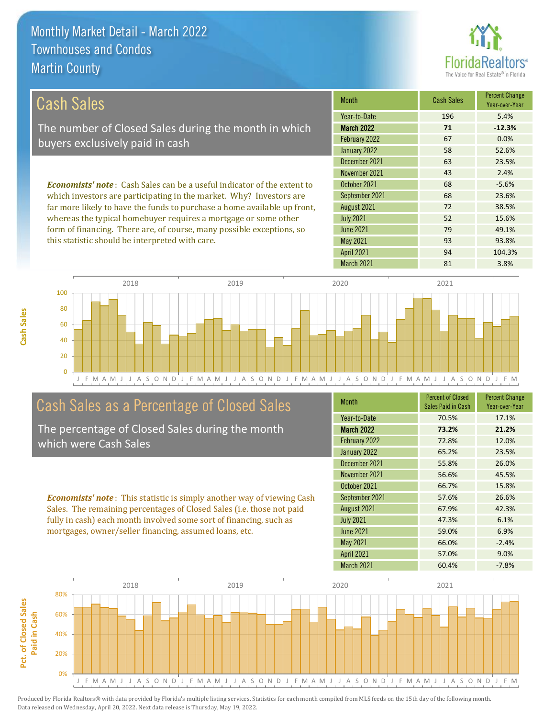**Cash Sales**



| <b>Cash Sales</b>                                                              | <b>Month</b>      | <b>Cash Sales</b> | <b>Percent Change</b><br>Year-over-Year |
|--------------------------------------------------------------------------------|-------------------|-------------------|-----------------------------------------|
|                                                                                | Year-to-Date      | 196               | 5.4%                                    |
| The number of Closed Sales during the month in which                           | <b>March 2022</b> | 71                | $-12.3%$                                |
| buyers exclusively paid in cash                                                | February 2022     | 67                | 0.0%                                    |
|                                                                                | January 2022      | 58                | 52.6%                                   |
|                                                                                | December 2021     | 63                | 23.5%                                   |
|                                                                                | November 2021     | 43                | 2.4%                                    |
| <b>Economists' note:</b> Cash Sales can be a useful indicator of the extent to | October 2021      | 68                | $-5.6%$                                 |
| which investors are participating in the market. Why? Investors are            | September 2021    | 68                | 23.6%                                   |
| far more likely to have the funds to purchase a home available up front,       | August 2021       | 72                | 38.5%                                   |
| whereas the typical homebuyer requires a mortgage or some other                | <b>July 2021</b>  | 52                | 15.6%                                   |
| form of financing. There are, of course, many possible exceptions, so          | June 2021         | 79                | 49.1%                                   |
| this statistic should be interpreted with care.                                | May 2021          | 93                | 93.8%                                   |



#### Cash Sales as a Percentage of Closed Sales

The percentage of Closed Sales during the month which were Cash Sales

*Economists' note* : This statistic is simply another way of viewing Cash Sales. The remaining percentages of Closed Sales (i.e. those not paid fully in cash) each month involved some sort of financing, such as mortgages, owner/seller financing, assumed loans, etc.

| <b>Month</b>      | <b>Percent of Closed</b><br>Sales Paid in Cash | <b>Percent Change</b><br>Year-over-Year |
|-------------------|------------------------------------------------|-----------------------------------------|
| Year-to-Date      | 70.5%                                          | 17.1%                                   |
| <b>March 2022</b> | 73.2%                                          | 21.2%                                   |
| February 2022     | 72.8%                                          | 12.0%                                   |
| January 2022      | 65.2%                                          | 23.5%                                   |
| December 2021     | 55.8%                                          | 26.0%                                   |
| November 2021     | 56.6%                                          | 45.5%                                   |
| October 2021      | 66.7%                                          | 15.8%                                   |
| September 2021    | 57.6%                                          | 26.6%                                   |
| August 2021       | 67.9%                                          | 42.3%                                   |
| <b>July 2021</b>  | 47.3%                                          | 6.1%                                    |
| <b>June 2021</b>  | 59.0%                                          | 6.9%                                    |
| <b>May 2021</b>   | 66.0%                                          | $-2.4%$                                 |
| <b>April 2021</b> | 57.0%                                          | 9.0%                                    |
| March 2021        | 60.4%                                          | $-7.8%$                                 |

April 2021 94 104.3%

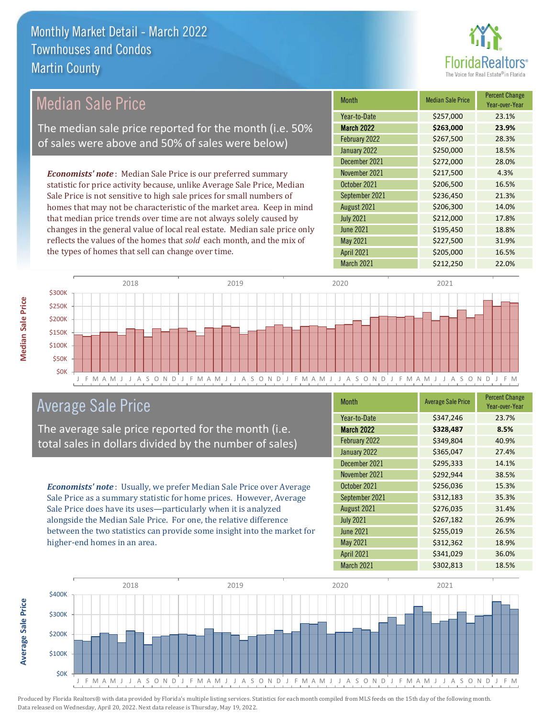

| Median Sale Price                                                         | <b>Month</b>      | <b>Median Sale Price</b> | <b>Percent Change</b><br>Year-over-Year |
|---------------------------------------------------------------------------|-------------------|--------------------------|-----------------------------------------|
|                                                                           | Year-to-Date      | \$257,000                | 23.1%                                   |
| The median sale price reported for the month (i.e. 50%                    | <b>March 2022</b> | \$263,000                | 23.9%                                   |
| of sales were above and 50% of sales were below)                          | February 2022     | \$267,500                | 28.3%                                   |
|                                                                           | January 2022      | \$250,000                | 18.5%                                   |
|                                                                           | December 2021     | \$272,000                | 28.0%                                   |
| <b>Economists' note:</b> Median Sale Price is our preferred summary       | November 2021     | \$217,500                | 4.3%                                    |
| statistic for price activity because, unlike Average Sale Price, Median   | October 2021      | \$206,500                | 16.5%                                   |
| Sale Price is not sensitive to high sale prices for small numbers of      | September 2021    | \$236,450                | 21.3%                                   |
| homes that may not be characteristic of the market area. Keep in mind     | August 2021       | \$206,300                | 14.0%                                   |
| that median price trends over time are not always solely caused by        | <b>July 2021</b>  | \$212,000                | 17.8%                                   |
| changes in the general value of local real estate. Median sale price only | <b>June 2021</b>  | \$195,450                | 18.8%                                   |
| reflects the values of the homes that sold each month, and the mix of     | May 2021          | \$227,500                | 31.9%                                   |
| the types of homes that sell can change over time.                        | <b>April 2021</b> | \$205,000                | 16.5%                                   |



#### Average Sale Price

The average sale price reported for the month (i.e. total sales in dollars divided by the number of sales)

*Economists' note* : Usually, we prefer Median Sale Price over Average Sale Price as a summary statistic for home prices. However, Average Sale Price does have its uses—particularly when it is analyzed alongside the Median Sale Price. For one, the relative difference between the two statistics can provide some insight into the market for higher-end homes in an area.

| <b>Month</b>      | <b>Average Sale Price</b> | <b>Percent Change</b><br>Year-over-Year |
|-------------------|---------------------------|-----------------------------------------|
| Year-to-Date      | \$347,246                 | 23.7%                                   |
| <b>March 2022</b> | \$328,487                 | 8.5%                                    |
| February 2022     | \$349,804                 | 40.9%                                   |
| January 2022      | \$365,047                 | 27.4%                                   |
| December 2021     | \$295,333                 | 14.1%                                   |
| November 2021     | \$292,944                 | 38.5%                                   |
| October 2021      | \$256,036                 | 15.3%                                   |
| September 2021    | \$312,183                 | 35.3%                                   |
| August 2021       | \$276,035                 | 31.4%                                   |
| <b>July 2021</b>  | \$267,182                 | 26.9%                                   |
| <b>June 2021</b>  | \$255,019                 | 26.5%                                   |
| <b>May 2021</b>   | \$312,362                 | 18.9%                                   |
| <b>April 2021</b> | \$341,029                 | 36.0%                                   |
| March 2021        | \$302,813                 | 18.5%                                   |

March 2021 **\$212,250** 22.0%



**Median Sale Price**

**Median Sale Price** 

**Average Sale Price Average Sale Price**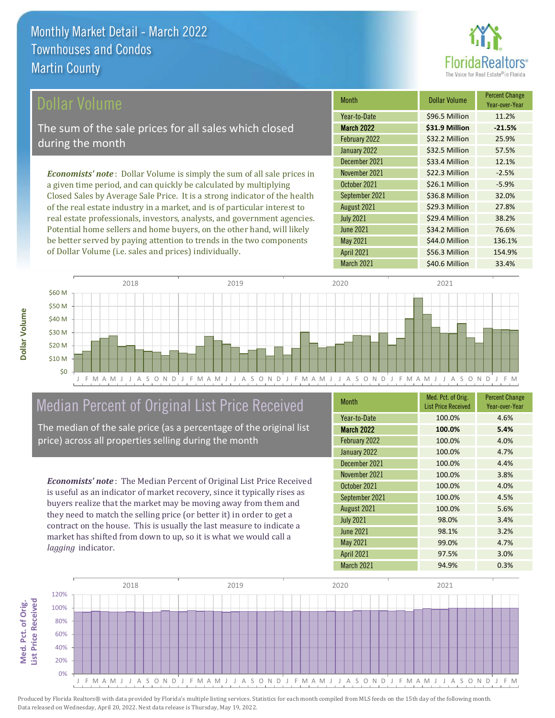

| Dollar Volume                                                                   | <b>Month</b>      | <b>Dollar Volume</b> | <b>Percent Change</b><br>Year-over-Year |
|---------------------------------------------------------------------------------|-------------------|----------------------|-----------------------------------------|
|                                                                                 | Year-to-Date      | \$96.5 Million       | 11.2%                                   |
| The sum of the sale prices for all sales which closed                           | <b>March 2022</b> | \$31.9 Million       | $-21.5%$                                |
| during the month                                                                | February 2022     | \$32.2 Million       | 25.9%                                   |
|                                                                                 | January 2022      | \$32.5 Million       | 57.5%                                   |
|                                                                                 | December 2021     | \$33.4 Million       | 12.1%                                   |
| <b>Economists' note</b> : Dollar Volume is simply the sum of all sale prices in | November 2021     | \$22.3 Million       | $-2.5%$                                 |
| a given time period, and can quickly be calculated by multiplying               | October 2021      | \$26.1 Million       | $-5.9%$                                 |
| Closed Sales by Average Sale Price. It is a strong indicator of the health      | September 2021    | \$36.8 Million       | 32.0%                                   |
| of the real estate industry in a market, and is of particular interest to       | August 2021       | \$29.3 Million       | 27.8%                                   |
| real estate professionals, investors, analysts, and government agencies.        | <b>July 2021</b>  | \$29.4 Million       | 38.2%                                   |
| Potential home sellers and home buyers, on the other hand, will likely          | <b>June 2021</b>  | \$34.2 Million       | 76.6%                                   |



#### Median Percent of Original List Price Received

be better served by paying attention to trends in the two components

of Dollar Volume (i.e. sales and prices) individually.

The median of the sale price (as a percentage of the original list price) across all properties selling during the month

*Economists' note* : The Median Percent of Original List Price Received is useful as an indicator of market recovery, since it typically rises as buyers realize that the market may be moving away from them and they need to match the selling price (or better it) in order to get a contract on the house. This is usually the last measure to indicate a market has shifted from down to up, so it is what we would call a *lagging* indicator.

| <b>Month</b>      | Med. Pct. of Orig.<br><b>List Price Received</b> | <b>Percent Change</b><br>Year-over-Year |
|-------------------|--------------------------------------------------|-----------------------------------------|
| Year-to-Date      | 100.0%                                           | 4.6%                                    |
| <b>March 2022</b> | 100.0%                                           | 5.4%                                    |
| February 2022     | 100.0%                                           | 4.0%                                    |
| January 2022      | 100.0%                                           | 4.7%                                    |
| December 2021     | 100.0%                                           | 4.4%                                    |
| November 2021     | 100.0%                                           | 3.8%                                    |
| October 2021      | 100.0%                                           | 4.0%                                    |
| September 2021    | 100.0%                                           | 4.5%                                    |
| August 2021       | 100.0%                                           | 5.6%                                    |
| <b>July 2021</b>  | 98.0%                                            | 3.4%                                    |
| <b>June 2021</b>  | 98.1%                                            | 3.2%                                    |
| <b>May 2021</b>   | 99.0%                                            | 4.7%                                    |
| <b>April 2021</b> | 97.5%                                            | 3.0%                                    |
| March 2021        | 94.9%                                            | 0.3%                                    |

March 2021 **\$40.6 Million 33.4%** 

April 2021 \$56.3 Million 154.9%

\$44.0 Million 136.1%

May 2021



Produced by Florida Realtors® with data provided by Florida's multiple listing services. Statistics for each month compiled from MLS feeds on the 15th day of the following month. Data released on Wednesday, April 20, 2022. Next data release is Thursday, May 19, 2022.

**Med. Pct. of Orig.** 

Med. Pct. of Orig.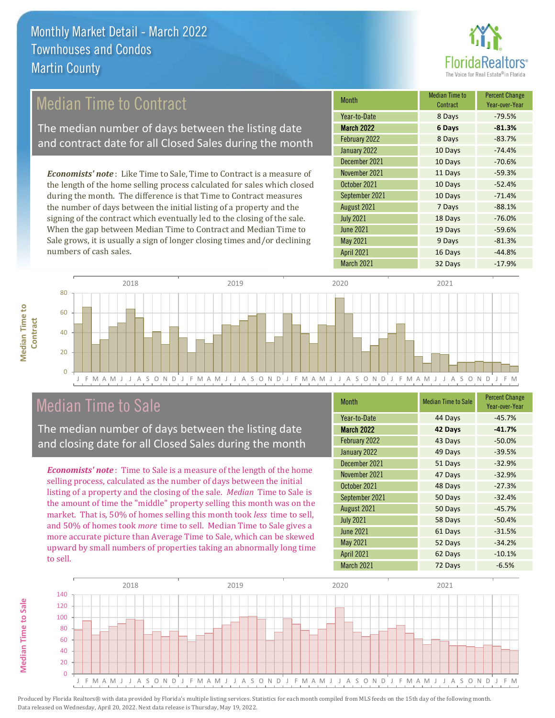

#### Median Time to Contract

The median number of days between the listing date and contract date for all Closed Sales during the month

*Economists' note* : Like Time to Sale, Time to Contract is a measure of the length of the home selling process calculated for sales which closed during the month. The difference is that Time to Contract measures the number of days between the initial listing of a property and the signing of the contract which eventually led to the closing of the sale. When the gap between Median Time to Contract and Median Time to Sale grows, it is usually a sign of longer closing times and/or declining numbers of cash sales.

| <b>Month</b>      | Median Time to<br>Contract | <b>Percent Change</b><br>Year-over-Year |
|-------------------|----------------------------|-----------------------------------------|
| Year-to-Date      | 8 Days                     | $-79.5%$                                |
| <b>March 2022</b> | 6 Days                     | $-81.3%$                                |
| February 2022     | 8 Days                     | $-83.7%$                                |
| January 2022      | 10 Days                    | $-74.4%$                                |
| December 2021     | 10 Days                    | $-70.6%$                                |
| November 2021     | 11 Days                    | $-59.3%$                                |
| October 2021      | 10 Days                    | $-52.4%$                                |
| September 2021    | 10 Days                    | $-71.4%$                                |
| August 2021       | 7 Days                     | $-88.1%$                                |
| <b>July 2021</b>  | 18 Days                    | $-76.0%$                                |
| <b>June 2021</b>  | 19 Days                    | $-59.6%$                                |
| <b>May 2021</b>   | 9 Days                     | $-81.3%$                                |
| <b>April 2021</b> | 16 Days                    | $-44.8%$                                |
| March 2021        | 32 Days                    | $-17.9%$                                |



#### Median Time to Sale

The median number of days between the listing date and closing date for all Closed Sales during the month

*Economists' note* : Time to Sale is a measure of the length of the home selling process, calculated as the number of days between the initial listing of a property and the closing of the sale. *Median* Time to Sale is the amount of time the "middle" property selling this month was on the market. That is, 50% of homes selling this month took *less* time to sell, and 50% of homes took *more* time to sell. Median Time to Sale gives a more accurate picture than Average Time to Sale, which can be skewed upward by small numbers of properties taking an abnormally long time to sell.

| <b>Month</b>      | <b>Median Time to Sale</b> | <b>Percent Change</b><br>Year-over-Year |
|-------------------|----------------------------|-----------------------------------------|
| Year-to-Date      | 44 Days                    | $-45.7%$                                |
| March 2022        | 42 Days                    | $-41.7%$                                |
| February 2022     | 43 Days                    | $-50.0%$                                |
| January 2022      | 49 Days                    | $-39.5%$                                |
| December 2021     | 51 Days                    | $-32.9%$                                |
| November 2021     | 47 Days                    | $-32.9%$                                |
| October 2021      | 48 Days                    | $-27.3%$                                |
| September 2021    | 50 Days                    | $-32.4%$                                |
| August 2021       | 50 Days                    | $-45.7%$                                |
| <b>July 2021</b>  | 58 Days                    | $-50.4%$                                |
| <b>June 2021</b>  | 61 Days                    | $-31.5%$                                |
| <b>May 2021</b>   | 52 Days                    | $-34.2%$                                |
| <b>April 2021</b> | 62 Days                    | $-10.1%$                                |
| March 2021        | 72 Days                    | $-6.5%$                                 |

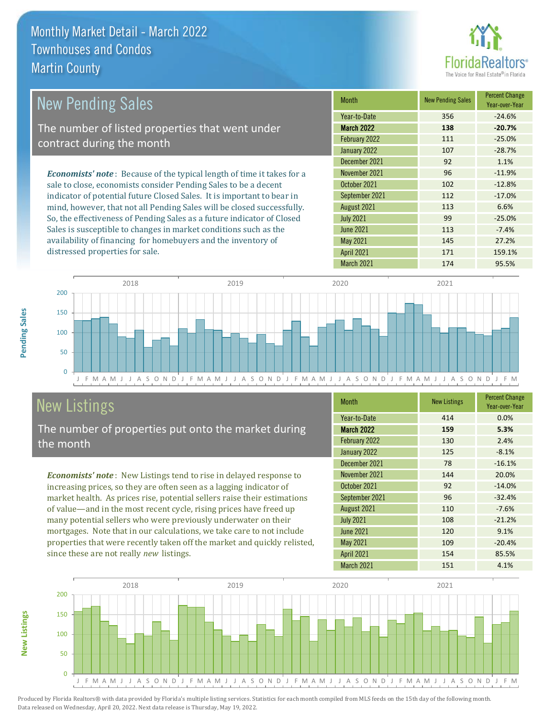

| <b>New Pending Sales</b>                                                      | <b>Month</b>      | <b>New Pending Sales</b> | <b>Percent Change</b><br>Year-over-Year |
|-------------------------------------------------------------------------------|-------------------|--------------------------|-----------------------------------------|
|                                                                               | Year-to-Date      | 356                      | $-24.6%$                                |
| The number of listed properties that went under                               | <b>March 2022</b> | 138                      | $-20.7%$                                |
| contract during the month                                                     | February 2022     | 111                      | $-25.0%$                                |
|                                                                               | January 2022      | 107                      | $-28.7%$                                |
|                                                                               | December 2021     | 92                       | 1.1%                                    |
| <b>Economists' note:</b> Because of the typical length of time it takes for a | November 2021     | 96                       | $-11.9%$                                |
| sale to close, economists consider Pending Sales to be a decent               | October 2021      | 102                      | $-12.8%$                                |
| indicator of potential future Closed Sales. It is important to bear in        | September 2021    | 112                      | $-17.0%$                                |
| mind, however, that not all Pending Sales will be closed successfully.        | August 2021       | 113                      | 6.6%                                    |
| So, the effectiveness of Pending Sales as a future indicator of Closed        | <b>July 2021</b>  | 99                       | $-25.0%$                                |
| Sales is susceptible to changes in market conditions such as the              | <b>June 2021</b>  | 113                      | $-7.4%$                                 |
| availability of financing for homebuyers and the inventory of                 | May 2021          | 145                      | 27.2%                                   |

J F M A M J J A S O N D J F M A M J J A S O N D J F M A M J J A S O N D J F M A M J J A S O N D J F M  $\overline{0}$ 50 100 150 200 2018 2019 2020 2021

### New Listings

distressed properties for sale.

The number of properties put onto the market during the month

*Economists' note* : New Listings tend to rise in delayed response to increasing prices, so they are often seen as a lagging indicator of market health. As prices rise, potential sellers raise their estimations of value—and in the most recent cycle, rising prices have freed up many potential sellers who were previously underwater on their mortgages. Note that in our calculations, we take care to not include properties that were recently taken off the market and quickly relisted, since these are not really *new* listings.

| <b>Month</b>      | <b>New Listings</b> | <b>Percent Change</b><br>Year-over-Year |
|-------------------|---------------------|-----------------------------------------|
| Year-to-Date      | 414                 | 0.0%                                    |
| <b>March 2022</b> | 159                 | 5.3%                                    |
| February 2022     | 130                 | 2.4%                                    |
| January 2022      | 125                 | $-8.1%$                                 |
| December 2021     | 78                  | $-16.1%$                                |
| November 2021     | 144                 | 20.0%                                   |
| October 2021      | 92                  | $-14.0%$                                |
| September 2021    | 96                  | $-32.4%$                                |
| August 2021       | 110                 | $-7.6%$                                 |
| <b>July 2021</b>  | 108                 | $-21.2%$                                |
| <b>June 2021</b>  | 120                 | 9.1%                                    |
| <b>May 2021</b>   | 109                 | $-20.4%$                                |
| <b>April 2021</b> | 154                 | 85.5%                                   |
| March 2021        | 151                 | 4.1%                                    |

April 2021 171 171 159.1% March 2021 174 95.5%



**Pending Sales**

Pending Sales

**New Listings**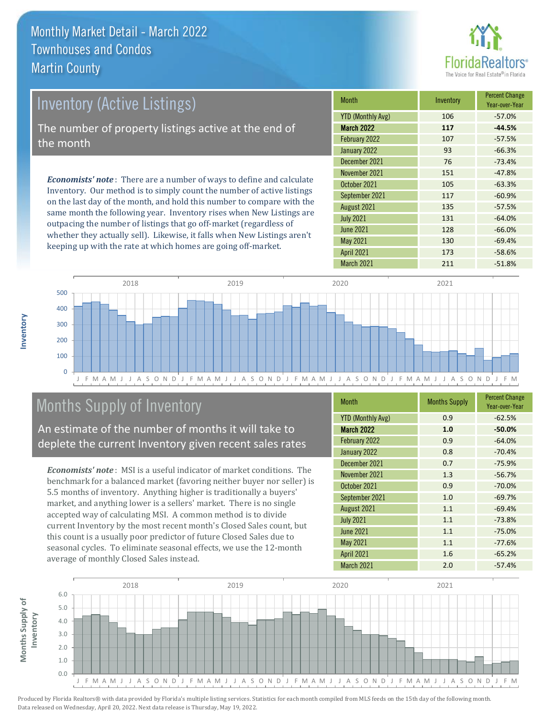

| <b>Inventory (Active Listings)</b>                                                                                                                     | <b>Month</b>                                                                             | Inventory | <b>Percent Change</b><br>Year-over-Year |
|--------------------------------------------------------------------------------------------------------------------------------------------------------|------------------------------------------------------------------------------------------|-----------|-----------------------------------------|
|                                                                                                                                                        | YTD (Monthly Avg)<br><b>March 2022</b><br>February 2022<br>January 2022<br>December 2021 | 106       | $-57.0%$                                |
| The number of property listings active at the end of                                                                                                   |                                                                                          | 117       | $-44.5%$                                |
| the month                                                                                                                                              |                                                                                          | 107       | $-57.5%$                                |
|                                                                                                                                                        |                                                                                          | 93        | $-66.3%$                                |
|                                                                                                                                                        |                                                                                          | 76        | $-73.4%$                                |
| <b>Economists' note</b> : There are a number of ways to define and calculate<br>Inventory. Our method is to simply count the number of active listings | November 2021                                                                            | 151       | $-47.8%$                                |
|                                                                                                                                                        | October 2021                                                                             | 105       | $-63.3%$                                |
|                                                                                                                                                        | September 2021                                                                           | 117       | $-60.9%$                                |

on the last day of the month, and hold this number to compare with the same month the following year. Inventory rises when New Listings are outpacing the number of listings that go off-market (regardless of whether they actually sell). Likewise, it falls when New Listings aren't keeping up with the rate at which homes are going off-market.

| <b>IVIOHHH</b>           | <b>ILIVELILUIV</b> | Year-over-Year |
|--------------------------|--------------------|----------------|
| <b>YTD (Monthly Avg)</b> | 106                | $-57.0%$       |
| <b>March 2022</b>        | 117                | $-44.5%$       |
| February 2022            | 107                | $-57.5%$       |
| January 2022             | 93                 | $-66.3%$       |
| December 2021            | 76                 | $-73.4%$       |
| November 2021            | 151                | $-47.8%$       |
| October 2021             | 105                | $-63.3%$       |
| September 2021           | 117                | $-60.9%$       |
| August 2021              | 135                | $-57.5%$       |
| <b>July 2021</b>         | 131                | $-64.0%$       |
| June 2021                | 128                | $-66.0%$       |
| <b>May 2021</b>          | 130                | $-69.4%$       |
| <b>April 2021</b>        | 173                | $-58.6%$       |
| <b>March 2021</b>        | 211                | $-51.8%$       |



#### Months Supply of Inventory

**Months Supply of** 

Months Supply of

**Inventory**

An estimate of the number of months it will take to deplete the current Inventory given recent sales rates

*Economists' note* : MSI is a useful indicator of market conditions. The benchmark for a balanced market (favoring neither buyer nor seller) is 5.5 months of inventory. Anything higher is traditionally a buyers' market, and anything lower is a sellers' market. There is no single accepted way of calculating MSI. A common method is to divide current Inventory by the most recent month's Closed Sales count, but this count is a usually poor predictor of future Closed Sales due to seasonal cycles. To eliminate seasonal effects, we use the 12-month average of monthly Closed Sales instead.

| <b>Month</b>             | <b>Months Supply</b> | <b>Percent Change</b><br>Year-over-Year |  |
|--------------------------|----------------------|-----------------------------------------|--|
| <b>YTD (Monthly Avg)</b> | 0.9                  | $-62.5%$                                |  |
| <b>March 2022</b>        | 1.0                  | $-50.0%$                                |  |
| February 2022            | 0.9                  | $-64.0%$                                |  |
| January 2022             | 0.8                  | $-70.4%$                                |  |
| December 2021            | 0.7                  | $-75.9%$                                |  |
| November 2021            | 1.3                  | $-56.7%$                                |  |
| October 2021             | 0.9                  | $-70.0%$                                |  |
| September 2021           | 1.0                  | $-69.7%$                                |  |
| August 2021              | 1.1                  | $-69.4%$                                |  |
| <b>July 2021</b>         | 1.1                  | $-73.8%$                                |  |
| <b>June 2021</b>         | 1.1                  | $-75.0%$                                |  |
| <b>May 2021</b>          | 1.1                  | $-77.6%$                                |  |
| <b>April 2021</b>        | 1.6                  | $-65.2%$                                |  |
| March 2021               | 2.0                  | $-57.4%$                                |  |

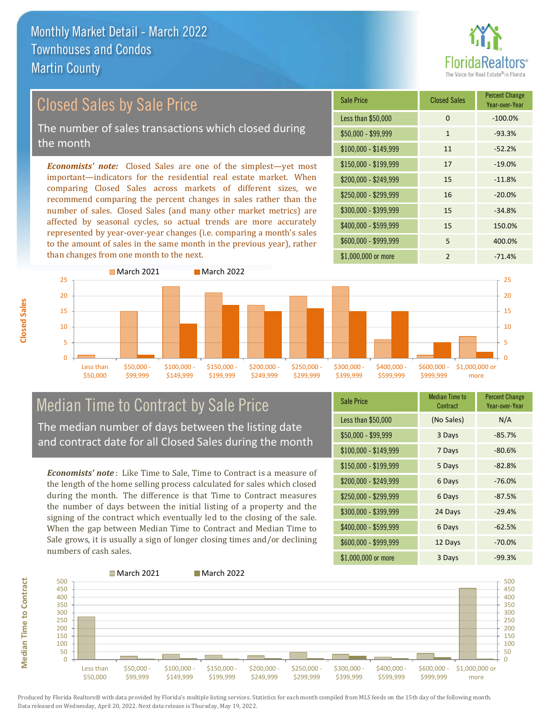#### Closed Sales by Sale Price

The number of sales transactions which closed during the month

*Economists' note:* Closed Sales are one of the simplest—yet most important—indicators for the residential real estate market. When comparing Closed Sales across markets of different sizes, we recommend comparing the percent changes in sales rather than the number of sales. Closed Sales (and many other market metrics) are affected by seasonal cycles, so actual trends are more accurately represented by year-over-year changes (i.e. comparing a month's sales to the amount of sales in the same month in the previous year), rather than changes from one month to the next.

| Sale Price            | <b>Closed Sales</b> | <b>Percent Change</b><br>Year-over-Year |
|-----------------------|---------------------|-----------------------------------------|
| Less than \$50,000    | $\Omega$            | $-100.0%$                               |
| \$50,000 - \$99,999   | $\mathbf{1}$        | $-93.3%$                                |
| $$100,000 - $149,999$ | 11                  | $-52.2%$                                |
| $$150,000 - $199,999$ | 17                  | $-19.0%$                                |
| $$200,000 - $249,999$ | 15                  | $-11.8%$                                |
| \$250,000 - \$299,999 | 16                  | $-20.0%$                                |
| \$300,000 - \$399,999 | 15                  | $-34.8%$                                |
| \$400,000 - \$599,999 | 15                  | 150.0%                                  |
| \$600,000 - \$999,999 | 5                   | 400.0%                                  |
| \$1,000,000 or more   | $\mathfrak{p}$      | $-71.4%$                                |



## Median Time to Contract by Sale Price

The median number of days between the listing date and contract date for all Closed Sales during the month

*Economists' note* : Like Time to Sale, Time to Contract is a measure of the length of the home selling process calculated for sales which closed during the month. The difference is that Time to Contract measures the number of days between the initial listing of a property and the signing of the contract which eventually led to the closing of the sale. When the gap between Median Time to Contract and Median Time to Sale grows, it is usually a sign of longer closing times and/or declining numbers of cash sales.

| <b>Sale Price</b>     | <b>Median Time to</b><br>Contract | <b>Percent Change</b><br>Year-over-Year |
|-----------------------|-----------------------------------|-----------------------------------------|
| Less than \$50,000    | (No Sales)                        | N/A                                     |
| $$50,000 - $99,999$   | 3 Days                            | $-85.7%$                                |
| $$100,000 - $149,999$ | 7 Days                            | $-80.6%$                                |
| $$150,000 - $199,999$ | 5 Days                            | $-82.8%$                                |
| \$200,000 - \$249,999 | 6 Days                            | $-76.0%$                                |
| \$250,000 - \$299,999 | 6 Days                            | $-87.5%$                                |
| \$300,000 - \$399,999 | 24 Days                           | $-29.4%$                                |
| \$400,000 - \$599,999 | 6 Days                            | $-62.5%$                                |
| \$600,000 - \$999,999 | 12 Days                           | $-70.0%$                                |
| \$1,000,000 or more   | 3 Days                            | $-99.3%$                                |



Produced by Florida Realtors® with data provided by Florida's multiple listing services. Statistics for each month compiled from MLS feeds on the 15th day of the following month. Data released on Wednesday, April 20, 2022. Next data release is Thursday, May 19, 2022.

**Median Time to Contract**

**Median Time to Contract**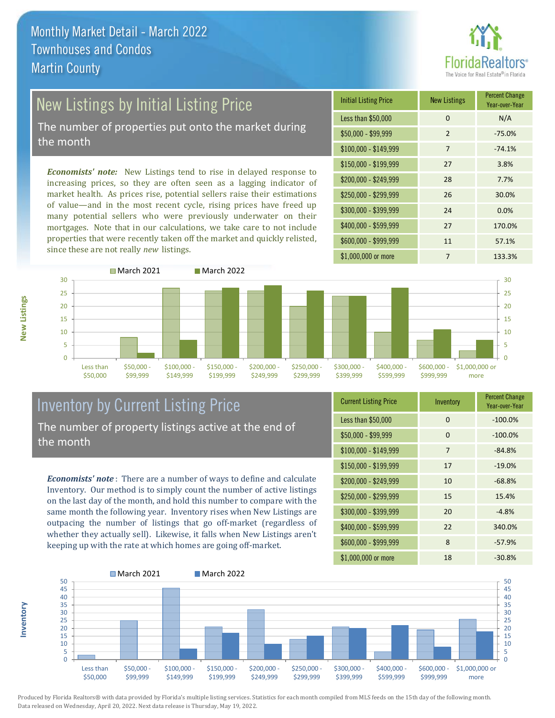# ealtors®

# New Listings by Initial Listing Price

The number of properties put onto the market during the month

*Economists' note:* New Listings tend to rise in delayed response to increasing prices, so they are often seen as a lagging indicator of market health. As prices rise, potential sellers raise their estimations of value—and in the most recent cycle, rising prices have freed up many potential sellers who were previously underwater on their mortgages. Note that in our calculations, we take care to not include properties that were recently taken off the market and quickly relisted, since these are not really *new* listings.





**Inventory**



#### Inventory by Current Listing Price The number of property listings active at the end of the month

*Economists' note* : There are a number of ways to define and calculate Inventory. Our method is to simply count the number of active listings on the last day of the month, and hold this number to compare with the same month the following year. Inventory rises when New Listings are outpacing the number of listings that go off-market (regardless of whether they actually sell). Likewise, it falls when New Listings aren't keeping up with the rate at which homes are going off-market.

| <b>Current Listing Price</b> | Inventory      | <b>Percent Change</b><br>Year-over-Year |
|------------------------------|----------------|-----------------------------------------|
| Less than \$50,000           | $\Omega$       | $-100.0%$                               |
| $$50,000 - $99,999$          | $\Omega$       | $-100.0%$                               |
| $$100,000 - $149,999$        | $\overline{7}$ | $-84.8%$                                |
| $$150,000 - $199,999$        | 17             | $-19.0%$                                |
| \$200,000 - \$249,999        | 10             | $-68.8%$                                |
| \$250,000 - \$299,999        | 15             | 15.4%                                   |
| \$300,000 - \$399,999        | 20             | $-4.8%$                                 |
| $$400,000 - $599,999$        | 22             | 340.0%                                  |
| \$600,000 - \$999,999        | 8              | $-57.9%$                                |
| \$1,000,000 or more          | 18             | $-30.8%$                                |